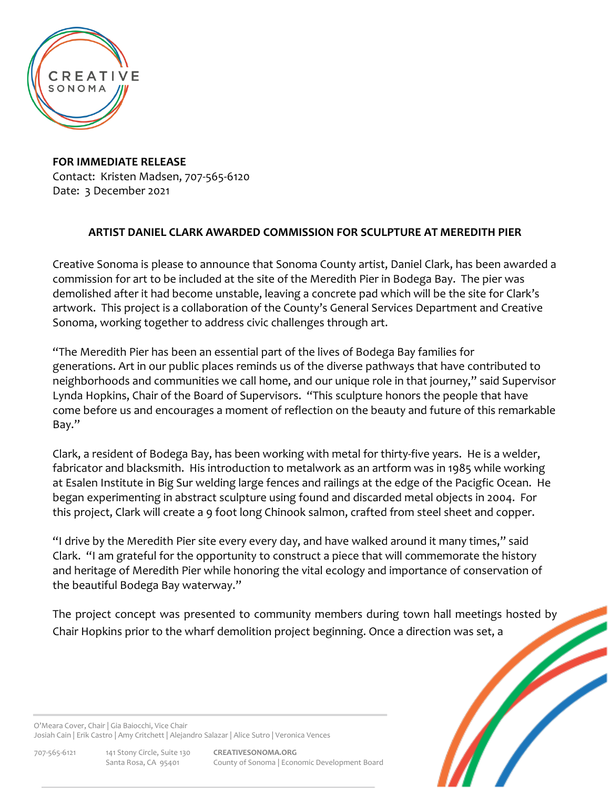

**FOR IMMEDIATE RELEASE** Contact: Kristen Madsen, 707-565-6120 Date: 3 December 2021

## **ARTIST DANIEL CLARK AWARDED COMMISSION FOR SCULPTURE AT MEREDITH PIER**

Creative Sonoma is please to announce that Sonoma County artist, Daniel Clark, has been awarded a commission for art to be included at the site of the Meredith Pier in Bodega Bay. The pier was demolished after it had become unstable, leaving a concrete pad which will be the site for Clark's artwork. This project is a collaboration of the County's General Services Department and Creative Sonoma, working together to address civic challenges through art.

"The Meredith Pier has been an essential part of the lives of Bodega Bay families for generations. Art in our public places reminds us of the diverse pathways that have contributed to neighborhoods and communities we call home, and our unique role in that journey," said Supervisor Lynda Hopkins, Chair of the Board of Supervisors. "This sculpture honors the people that have come before us and encourages a moment of reflection on the beauty and future of this remarkable Bay."

Clark, a resident of Bodega Bay, has been working with metal for thirty-five years. He is a welder, fabricator and blacksmith. His introduction to metalwork as an artform was in 1985 while working at Esalen Institute in Big Sur welding large fences and railings at the edge of the Pacigfic Ocean. He began experimenting in abstract sculpture using found and discarded metal objects in 2004. For this project, Clark will create a 9 foot long Chinook salmon, crafted from steel sheet and copper.

"I drive by the Meredith Pier site every every day, and have walked around it many times," said Clark. "I am grateful for the opportunity to construct a piece that will commemorate the history and heritage of Meredith Pier while honoring the vital ecology and importance of conservation of the beautiful Bodega Bay waterway."

The project concept was presented to community members during town hall meetings hosted by Chair Hopkins prior to the wharf demolition project beginning. Once a direction was set, a

O'Meara Cover, Chair | Gia Baiocchi, Vice Chair Josiah Cain | Erik Castro | Amy Critchett | Alejandro Salazar | Alice Sutro | Veronica Vences

707-565-6121 141 Stony Circle, Suite 130 **CREATIVESONOMA.ORG**

County of Sonoma | Economic Development Board